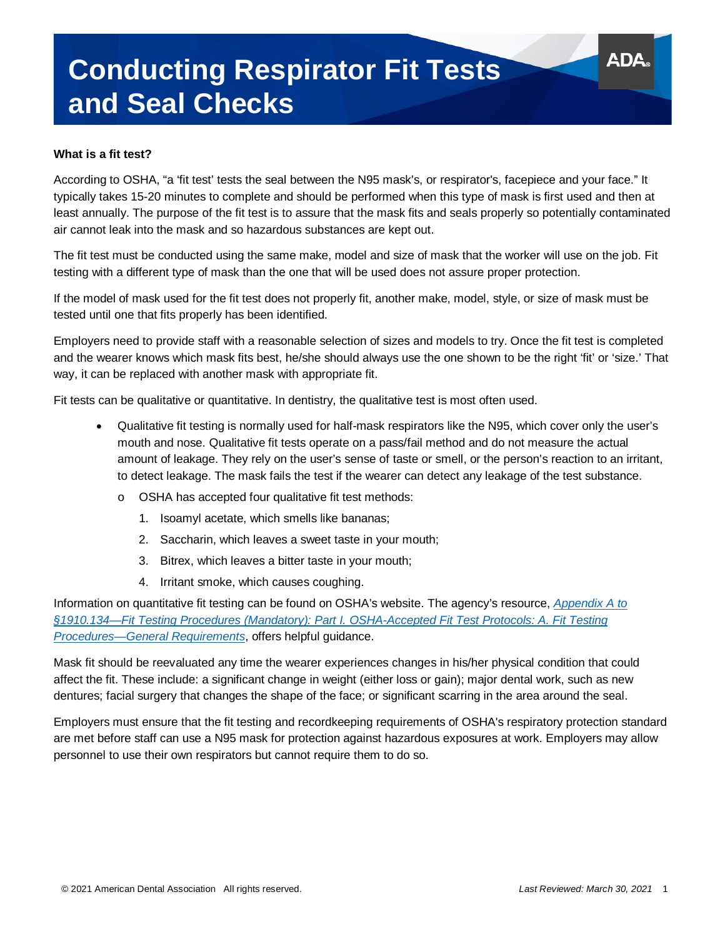# **Conducting Respirator Fit Tests and Seal Checks**

#### **What is a fit test?**

According to OSHA, "a 'fit test' tests the seal between the N95 mask's, or respirator's, facepiece and your face." It typically takes 15-20 minutes to complete and should be performed when this type of mask is first used and then at least annually. The purpose of the fit test is to assure that the mask fits and seals properly so potentially contaminated air cannot leak into the mask and so hazardous substances are kept out.

The fit test must be conducted using the same make, model and size of mask that the worker will use on the job. Fit testing with a different type of mask than the one that will be used does not assure proper protection.

If the model of mask used for the fit test does not properly fit, another make, model, style, or size of mask must be tested until one that fits properly has been identified.

Employers need to provide staff with a reasonable selection of sizes and models to try. Once the fit test is completed and the wearer knows which mask fits best, he/she should always use the one shown to be the right 'fit' or 'size.' That way, it can be replaced with another mask with appropriate fit.

Fit tests can be qualitative or quantitative. In dentistry, the qualitative test is most often used.

- Qualitative fit testing is normally used for half-mask respirators like the N95, which cover only the user's mouth and nose. Qualitative fit tests operate on a pass/fail method and do not measure the actual amount of leakage. They rely on the user's sense of taste or smell, or the person's reaction to an irritant, to detect leakage. The mask fails the test if the wearer can detect any leakage of the test substance.
	- o OSHA has accepted four qualitative fit test methods:
		- 1. Isoamyl acetate, which smells like bananas;
		- 2. Saccharin, which leaves a sweet taste in your mouth;
		- 3. Bitrex, which leaves a bitter taste in your mouth;
		- 4. Irritant smoke, which causes coughing.

Information on quantitative fit testing can be found on OSHA's website. The agency's resource, *[Appendix A to](https://www.osha.gov/laws-regs/regulations/standardnumber/1910/1910.134AppA)  [§1910.134—Fit Testing Procedures \(Mandatory\): Part I. OSHA-Accepted Fit Test Protocols: A. Fit Testing](https://www.osha.gov/laws-regs/regulations/standardnumber/1910/1910.134AppA)  [Procedures—General Requirements](https://www.osha.gov/laws-regs/regulations/standardnumber/1910/1910.134AppA)*, offers helpful guidance.

Mask fit should be reevaluated any time the wearer experiences changes in his/her physical condition that could affect the fit. These include: a significant change in weight (either loss or gain); major dental work, such as new dentures; facial surgery that changes the shape of the face; or significant scarring in the area around the seal.

Employers must ensure that the fit testing and recordkeeping requirements of OSHA's respiratory protection standard are met before staff can use a N95 mask for protection against hazardous exposures at work. Employers may allow personnel to use their own respirators but cannot require them to do so.

ADA